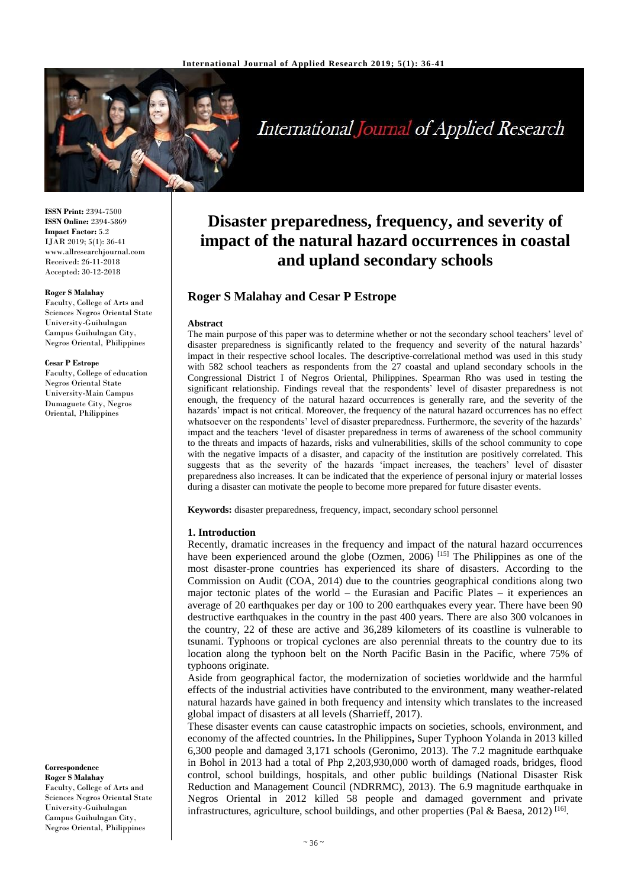

# **International Journal of Applied Research**

**ISSN Print:** 2394-7500 **ISSN Online:** 2394-5869 **Impact Factor:** 5.2 IJAR 2019; 5(1): 36-41 www.allresearchjournal.com Received: 26-11-2018 Accepted: 30-12-2018

#### **Roger S Malahay**

Faculty, College of Arts and Sciences Negros Oriental State University-Guihulngan Campus Guihulngan City, Negros Oriental, Philippines

#### **Cesar P Estrope**

Faculty, College of education Negros Oriental State University-Main Campus Dumaguete City, Negros Oriental, Philippines

**Correspondence**

**Roger S Malahay** Faculty, College of Arts and Sciences Negros Oriental State University-Guihulngan Campus Guihulngan City, Negros Oriental, Philippines

# **Disaster preparedness, frequency, and severity of impact of the natural hazard occurrences in coastal and upland secondary schools**

# **Roger S Malahay and Cesar P Estrope**

#### **Abstract**

The main purpose of this paper was to determine whether or not the secondary school teachers' level of disaster preparedness is significantly related to the frequency and severity of the natural hazards' impact in their respective school locales. The descriptive-correlational method was used in this study with 582 school teachers as respondents from the 27 coastal and upland secondary schools in the Congressional District I of Negros Oriental, Philippines. Spearman Rho was used in testing the significant relationship. Findings reveal that the respondents' level of disaster preparedness is not enough, the frequency of the natural hazard occurrences is generally rare, and the severity of the hazards' impact is not critical. Moreover, the frequency of the natural hazard occurrences has no effect whatsoever on the respondents' level of disaster preparedness. Furthermore, the severity of the hazards' impact and the teachers 'level of disaster preparedness in terms of awareness of the school community to the threats and impacts of hazards, risks and vulnerabilities, skills of the school community to cope with the negative impacts of a disaster, and capacity of the institution are positively correlated. This suggests that as the severity of the hazards 'impact increases, the teachers' level of disaster preparedness also increases. It can be indicated that the experience of personal injury or material losses during a disaster can motivate the people to become more prepared for future disaster events.

**Keywords:** disaster preparedness, frequency, impact, secondary school personnel

#### **1. Introduction**

Recently, dramatic increases in the frequency and impact of the natural hazard occurrences have been experienced around the globe (Ozmen, 2006)<sup>[15]</sup> The Philippines as one of the most disaster-prone countries has experienced its share of disasters. According to the Commission on Audit (COA, 2014) due to the countries geographical conditions along two major tectonic plates of the world – the Eurasian and Pacific Plates – it experiences an average of 20 earthquakes per day or 100 to 200 earthquakes every year. There have been 90 destructive earthquakes in the country in the past 400 years. There are also 300 volcanoes in the country, 22 of these are active and 36,289 kilometers of its coastline is vulnerable to tsunami. Typhoons or tropical cyclones are also perennial threats to the country due to its location along the typhoon belt on the North Pacific Basin in the Pacific, where 75% of typhoons originate.

Aside from geographical factor, the modernization of societies worldwide and the harmful effects of the industrial activities have contributed to the environment, many weather-related natural hazards have gained in both frequency and intensity which translates to the increased global impact of disasters at all levels (Sharrieff, 2017).

These disaster events can cause catastrophic impacts on societies, schools, environment, and economy of the affected countries**.** In the Philippines**,** Super Typhoon Yolanda in 2013 killed 6,300 people and damaged 3,171 schools (Geronimo, 2013). The 7.2 magnitude earthquake in Bohol in 2013 had a total of Php 2,203,930,000 worth of damaged roads, bridges, flood control, school buildings, hospitals, and other public buildings (National Disaster Risk Reduction and Management Council (NDRRMC), 2013). The 6.9 magnitude earthquake in Negros Oriental in 2012 killed 58 people and damaged government and private infrastructures, agriculture, school buildings, and other properties (Pal & Baesa, 2012)<sup>[16]</sup>.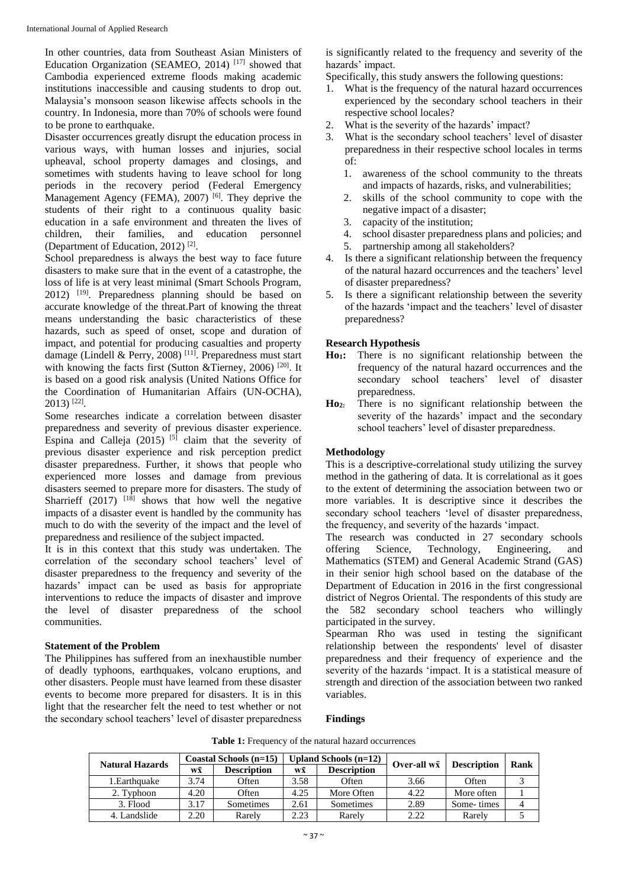In other countries, data from Southeast Asian Ministers of Education Organization (SEAMEO, 2014)<sup>[17]</sup> showed that Cambodia experienced extreme floods making academic institutions inaccessible and causing students to drop out. Malaysia's monsoon season likewise affects schools in the country. In Indonesia, more than 70% of schools were found to be prone to earthquake.

Disaster occurrences greatly disrupt the education process in various ways, with human losses and injuries, social upheaval, school property damages and closings, and sometimes with students having to leave school for long periods in the recovery period (Federal Emergency Management Agency (FEMA), 2007)<sup>[6]</sup>. They deprive the students of their right to a continuous quality basic education in a safe environment and threaten the lives of children, their families, and education personnel (Department of Education, 2012)<sup>[2]</sup>.

School preparedness is always the best way to face future disasters to make sure that in the event of a catastrophe, the loss of life is at very least minimal (Smart Schools Program, 2012) [19] . Preparedness planning should be based on accurate knowledge of the threat.Part of knowing the threat means understanding the basic characteristics of these hazards, such as speed of onset, scope and duration of impact, and potential for producing casualties and property damage (Lindell & Perry, 2008)<sup>[11]</sup>. Preparedness must start with knowing the facts first (Sutton &Tierney, 2006) [20]. It is based on a good risk analysis (United Nations Office for the Coordination of Humanitarian Affairs (UN-OCHA), 2013) [22] .

Some researches indicate a correlation between disaster preparedness and severity of previous disaster experience. Espina and Calleja  $(2015)^{5}$  claim that the severity of previous disaster experience and risk perception predict disaster preparedness. Further, it shows that people who experienced more losses and damage from previous disasters seemed to prepare more for disasters. The study of Sharrieff  $(2017)$  <sup>[18]</sup> shows that how well the negative impacts of a disaster event is handled by the community has much to do with the severity of the impact and the level of preparedness and resilience of the subject impacted.

It is in this context that this study was undertaken. The correlation of the secondary school teachers' level of disaster preparedness to the frequency and severity of the hazards' impact can be used as basis for appropriate interventions to reduce the impacts of disaster and improve the level of disaster preparedness of the school communities.

# **Statement of the Problem**

The Philippines has suffered from an inexhaustible number of deadly typhoons, earthquakes, volcano eruptions, and other disasters. People must have learned from these disaster events to become more prepared for disasters. It is in this light that the researcher felt the need to test whether or not the secondary school teachers' level of disaster preparedness

is significantly related to the frequency and severity of the hazards' impact.

Specifically, this study answers the following questions:

- 1. What is the frequency of the natural hazard occurrences experienced by the secondary school teachers in their respective school locales?
- 2. What is the severity of the hazards' impact?
- 3. What is the secondary school teachers' level of disaster preparedness in their respective school locales in terms of:
	- 1. awareness of the school community to the threats and impacts of hazards, risks, and vulnerabilities;
	- 2. skills of the school community to cope with the negative impact of a disaster;
	- 3. capacity of the institution;
	- 4. school disaster preparedness plans and policies; and
	- 5. partnership among all stakeholders?
- 4. Is there a significant relationship between the frequency of the natural hazard occurrences and the teachers' level of disaster preparedness?
- 5. Is there a significant relationship between the severity of the hazards 'impact and the teachers' level of disaster preparedness?

# **Research Hypothesis**

- **Ho1:** There is no significant relationship between the frequency of the natural hazard occurrences and the secondary school teachers' level of disaster preparedness.
- **Ho2:** There is no significant relationship between the severity of the hazards' impact and the secondary school teachers' level of disaster preparedness.

# **Methodology**

This is a descriptive-correlational study utilizing the survey method in the gathering of data. It is correlational as it goes to the extent of determining the association between two or more variables. It is descriptive since it describes the secondary school teachers 'level of disaster preparedness, the frequency, and severity of the hazards 'impact.

The research was conducted in 27 secondary schools offering Science, Technology, Engineering, and Mathematics (STEM) and General Academic Strand (GAS) in their senior high school based on the database of the Department of Education in 2016 in the first congressional district of Negros Oriental. The respondents of this study are the 582 secondary school teachers who willingly participated in the survey.

Spearman Rho was used in testing the significant relationship between the respondents' level of disaster preparedness and their frequency of experience and the severity of the hazards 'impact. It is a statistical measure of strength and direction of the association between two ranked variables.

# **Findings**

|                        |      | Coastal Schools (n=15) |      | Upland Schools $(n=12)$ |                         |                    |      |  |
|------------------------|------|------------------------|------|-------------------------|-------------------------|--------------------|------|--|
| <b>Natural Hazards</b> | wī   | <b>Description</b>     | wī   | <b>Description</b>      | Over-all w <del>x</del> | <b>Description</b> | Rank |  |
| 1. Earthquake          | 3.74 | Often                  | 3.58 | Often                   | 3.66                    | Often              |      |  |
| 2. Typhoon             | 4.20 | Often                  | 4.25 | More Often              | 4.22                    | More often         |      |  |
| 3. Flood               | 3.17 | Sometimes              | 2.61 | Sometimes               | 2.89                    | Some-times         |      |  |
| 4. Landslide           | 2.20 | Rarely                 | 2.23 | Rarely                  | 2.22                    | Rarely             |      |  |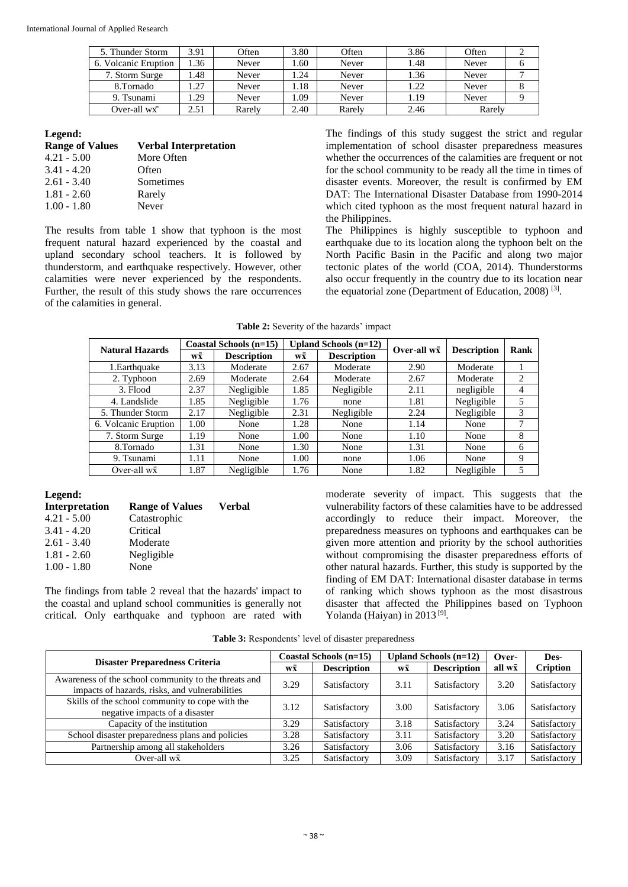| 5. Thunder Storm     | 3.91 | Often  | 3.80 | Often  | 3.86 | Often  |  |
|----------------------|------|--------|------|--------|------|--------|--|
| 6. Volcanic Eruption | .36  | Never  | .60  | Never  | 1.48 | Never  |  |
| 7. Storm Surge       | .48  | Never  | .24  | Never  | 1.36 | Never  |  |
| 8.Tornado            | .27  | Never  | .18  | Never  | 1.22 | Never  |  |
| 9. Tsunami           | .29  | Never  | .09  | Never  | 1.19 | Never  |  |
| Over-all $w\bar{x}$  | 2.51 | Rarely | 2.40 | Rarely | 2.46 | Rarely |  |

#### **Legend:**

| <b>Range of Values</b> | <b>Verbal Interpretation</b> |
|------------------------|------------------------------|
| $4.21 - 5.00$          | More Often                   |
| $3.41 - 4.20$          | Often                        |
| $2.61 - 3.40$          | Sometimes                    |
| $1.81 - 2.60$          | Rarely                       |
| $1.00 - 1.80$          | Never                        |

The results from table 1 show that typhoon is the most frequent natural hazard experienced by the coastal and upland secondary school teachers. It is followed by thunderstorm, and earthquake respectively. However, other calamities were never experienced by the respondents. Further, the result of this study shows the rare occurrences of the calamities in general.

The findings of this study suggest the strict and regular implementation of school disaster preparedness measures whether the occurrences of the calamities are frequent or not for the school community to be ready all the time in times of disaster events. Moreover, the result is confirmed by EM DAT: The International Disaster Database from 1990-2014 which cited typhoon as the most frequent natural hazard in the Philippines.

The Philippines is highly susceptible to typhoon and earthquake due to its location along the typhoon belt on the North Pacific Basin in the Pacific and along two major tectonic plates of the world (COA, 2014). Thunderstorms also occur frequently in the country due to its location near the equatorial zone (Department of Education, 2008)<sup>[3]</sup>.

| Table 2: Severity of the hazards' impact |  |
|------------------------------------------|--|
|------------------------------------------|--|

| <b>Natural Hazards</b> |      | Coastal Schools (n=15) |                      | Upland Schools $(n=12)$ | Over-all $w\bar{x}$ | <b>Description</b> | Rank |  |
|------------------------|------|------------------------|----------------------|-------------------------|---------------------|--------------------|------|--|
|                        | wx   | <b>Description</b>     | w $\bar{\mathbf{x}}$ | <b>Description</b>      |                     |                    |      |  |
| 1. Earthquake          | 3.13 | Moderate               | 2.67                 | Moderate                | 2.90                | Moderate           |      |  |
| 2. Typhoon             | 2.69 | Moderate               | 2.64                 | Moderate                | 2.67                | Moderate           | 2    |  |
| 3. Flood               | 2.37 | Negligible             | 1.85                 | Negligible              | 2.11                | negligible         | 4    |  |
| 4. Landslide           | 1.85 | Negligible             | 1.76                 | none                    | 1.81                | Negligible         | 5    |  |
| 5. Thunder Storm       | 2.17 | Negligible             | 2.31                 | Negligible              | 2.24                | Negligible         | 3    |  |
| 6. Volcanic Eruption   | 1.00 | None                   | 1.28                 | None                    | 1.14                | None               | 7    |  |
| 7. Storm Surge         | 1.19 | None                   | 1.00                 | None                    | 1.10                | None               | 8    |  |
| 8.Tornado              | 1.31 | None                   | 1.30                 | None                    | 1.31                | None               | 6    |  |
| 9. Tsunami             | 1.11 | None                   | 1.00                 | none                    | 1.06                | None               | 9    |  |
| Over-all $w\bar{x}$    | 1.87 | Negligible             | 1.76                 | None                    | 1.82                | Negligible         | 5    |  |

#### **Legend:**

| Interpretation | <b>Range of Values</b> | <b>Verbal</b> |  |
|----------------|------------------------|---------------|--|
| $4.21 - 5.00$  | Catastrophic           |               |  |
| $3.41 - 4.20$  | Critical               |               |  |
| $2.61 - 3.40$  | Moderate               |               |  |
| $1.81 - 2.60$  | Negligible             |               |  |
| $1.00 - 1.80$  | None                   |               |  |
|                |                        |               |  |

The findings from table 2 reveal that the hazards' impact to the coastal and upland school communities is generally not critical. Only earthquake and typhoon are rated with moderate severity of impact. This suggests that the vulnerability factors of these calamities have to be addressed accordingly to reduce their impact. Moreover, the preparedness measures on typhoons and earthquakes can be given more attention and priority by the school authorities without compromising the disaster preparedness efforts of other natural hazards. Further, this study is supported by the finding of EM DAT: International disaster database in terms of ranking which shows typhoon as the most disastrous disaster that affected the Philippines based on Typhoon Yolanda (Haiyan) in 2013<sup>[9]</sup>.

**Table 3:** Respondents' level of disaster preparedness

| <b>Disaster Preparedness Criteria</b>                                                                  |      | Coastal Schools (n=15) |                      | Upland Schools $(n=12)$ | Over-          | Des-            |
|--------------------------------------------------------------------------------------------------------|------|------------------------|----------------------|-------------------------|----------------|-----------------|
|                                                                                                        | wx   | <b>Description</b>     | w $\bar{\mathbf{x}}$ | <b>Description</b>      | all $w\bar{x}$ | <b>Cription</b> |
| Awareness of the school community to the threats and<br>impacts of hazards, risks, and vulnerabilities | 3.29 | Satisfactory           | 3.11                 | Satisfactory            | 3.20           | Satisfactory    |
| Skills of the school community to cope with the<br>negative impacts of a disaster                      | 3.12 | Satisfactory           | 3.00                 | Satisfactory            | 3.06           | Satisfactory    |
| Capacity of the institution                                                                            | 3.29 | Satisfactory           | 3.18                 | Satisfactory            | 3.24           | Satisfactory    |
| School disaster preparedness plans and policies                                                        | 3.28 | Satisfactory           | 3.11                 | Satisfactory            | 3.20           | Satisfactory    |
| Partnership among all stakeholders                                                                     | 3.26 | Satisfactory           | 3.06                 | Satisfactory            | 3.16           | Satisfactory    |
| Over-all $w\bar{x}$                                                                                    | 3.25 | Satisfactory           | 3.09                 | Satisfactory            | 3.17           | Satisfactory    |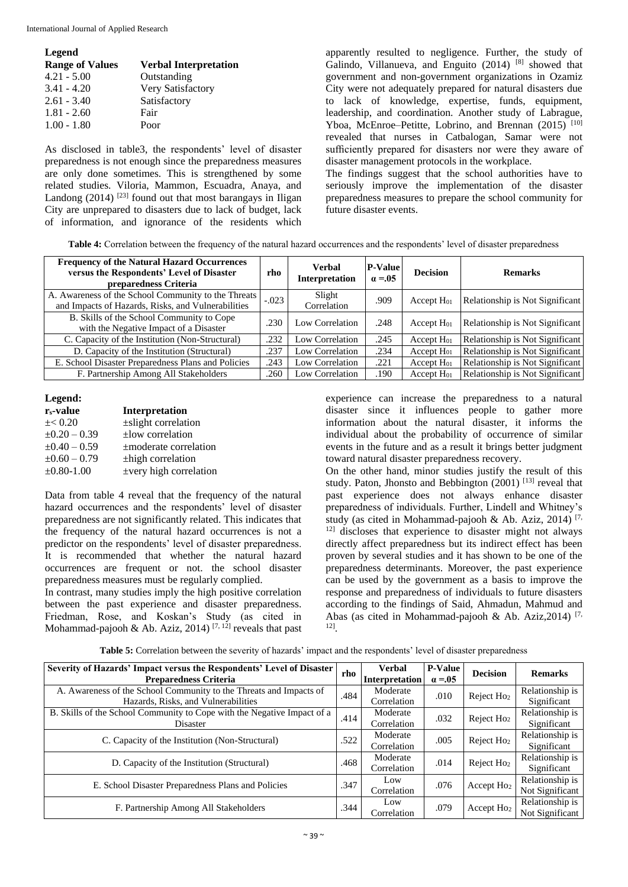International Journal of Applied Research

| Legend                 |                              |
|------------------------|------------------------------|
| <b>Range of Values</b> | <b>Verbal Interpretation</b> |
| $4.21 - 5.00$          | Outstanding                  |
| $3.41 - 4.20$          | Very Satisfactory            |
| $2.61 - 3.40$          | Satisfactory                 |
| $1.81 - 2.60$          | Fair                         |
| $1.00 - 1.80$          | Poor                         |

As disclosed in table3, the respondents' level of disaster preparedness is not enough since the preparedness measures are only done sometimes. This is strengthened by some related studies. Viloria, Mammon, Escuadra, Anaya, and Landong  $(2014)$ <sup>[23]</sup> found out that most barangays in Iligan City are unprepared to disasters due to lack of budget, lack of information, and ignorance of the residents which

apparently resulted to negligence. Further, the study of Galindo, Villanueva, and Enguito  $(2014)$  [8] showed that government and non-government organizations in Ozamiz City were not adequately prepared for natural disasters due to lack of knowledge, expertise, funds, equipment, leadership, and coordination. Another study of Labrague, Yboa, McEnroe–Petitte, Lobrino, and Brennan  $(2015)^{-[10]}$ revealed that nurses in Catbalogan, Samar were not sufficiently prepared for disasters nor were they aware of disaster management protocols in the workplace.

The findings suggest that the school authorities have to seriously improve the implementation of the disaster preparedness measures to prepare the school community for future disaster events.

**Table 4:** Correlation between the frequency of the natural hazard occurrences and the respondents' level of disaster preparedness

| <b>Frequency of the Natural Hazard Occurrences</b><br>versus the Respondents' Level of Disaster<br>preparedness Criteria | rho     | Verbal<br><b>Interpretation</b> | <b>P-Value</b><br>$\alpha = 0.05$ | <b>Decision</b> | <b>Remarks</b>                  |
|--------------------------------------------------------------------------------------------------------------------------|---------|---------------------------------|-----------------------------------|-----------------|---------------------------------|
| A. Awareness of the School Community to the Threats<br>and Impacts of Hazards, Risks, and Vulnerabilities                | $-.023$ | Slight<br>Correlation           | .909                              | Accept $H01$    | Relationship is Not Significant |
| B. Skills of the School Community to Cope<br>with the Negative Impact of a Disaster                                      | .230    | Low Correlation                 | .248                              | Accept $H_{01}$ | Relationship is Not Significant |
| C. Capacity of the Institution (Non-Structural)                                                                          | .232    | Low Correlation                 | .245                              | Accept $H01$    | Relationship is Not Significant |
| D. Capacity of the Institution (Structural)                                                                              | .237    | Low Correlation                 | .234                              | Accept $H01$    | Relationship is Not Significant |
| E. School Disaster Preparedness Plans and Policies                                                                       | .243    | Low Correlation                 | .221                              | Accept $H01$    | Relationship is Not Significant |
| F. Partnership Among All Stakeholders                                                                                    | .260    | Low Correlation                 | .190                              | Accept $H01$    | Relationship is Not Significant |

#### **Legend:**

| $r_s$ -value      | <b>Interpretation</b>       |
|-------------------|-----------------------------|
| $\pm$ < 0.20      | $\pm$ slight correlation    |
| $\pm 0.20 - 0.39$ | $\pm$ low correlation       |
| $\pm 0.40 - 0.59$ | ±moderate correlation       |
| $\pm 0.60 - 0.79$ | ±high correlation           |
| $±0.80-1.00$      | $\pm$ very high correlation |

Data from table 4 reveal that the frequency of the natural hazard occurrences and the respondents' level of disaster preparedness are not significantly related. This indicates that the frequency of the natural hazard occurrences is not a predictor on the respondents' level of disaster preparedness. It is recommended that whether the natural hazard occurrences are frequent or not. the school disaster preparedness measures must be regularly complied.

In contrast, many studies imply the high positive correlation between the past experience and disaster preparedness. Friedman, Rose, and Koskan's Study (as cited in Mohammad-pajooh & Ab. Aziz, 2014)<sup>[7, 12]</sup> reveals that past

experience can increase the preparedness to a natural disaster since it influences people to gather more information about the natural disaster, it informs the individual about the probability of occurrence of similar events in the future and as a result it brings better judgment toward natural disaster preparedness recovery.

On the other hand, minor studies justify the result of this study. Paton, Jhonsto and Bebbington  $(2001)$ <sup>[13]</sup> reveal that past experience does not always enhance disaster preparedness of individuals. Further, Lindell and Whitney's study (as cited in Mohammad-pajooh & Ab. Aziz, 2014) [7, 12] discloses that experience to disaster might not always directly affect preparedness but its indirect effect has been proven by several studies and it has shown to be one of the preparedness determinants. Moreover, the past experience can be used by the government as a basis to improve the response and preparedness of individuals to future disasters according to the findings of Said, Ahmadun, Mahmud and Abas (as cited in Mohammad-pajooh & Ab. Aziz, 2014)<sup>[7,</sup> 12] .

| Severity of Hazards' Impact versus the Respondents' Level of Disaster<br><b>Preparedness Criteria</b>     | rho  | <b>Verbal</b><br>Interpretation | <b>P-Value</b><br>$\alpha = 0.05$ | <b>Decision</b>        | <b>Remarks</b>                     |
|-----------------------------------------------------------------------------------------------------------|------|---------------------------------|-----------------------------------|------------------------|------------------------------------|
| A. Awareness of the School Community to the Threats and Impacts of<br>Hazards, Risks, and Vulnerabilities | .484 | Moderate<br>Correlation         | .010                              | Reject Ho <sub>2</sub> | Relationship is<br>Significant     |
| B. Skills of the School Community to Cope with the Negative Impact of a<br>Disaster                       | .414 | Moderate<br>Correlation         | .032                              | Reject Ho <sub>2</sub> | Relationship is<br>Significant     |
| C. Capacity of the Institution (Non-Structural)                                                           | .522 | Moderate<br>Correlation         | .005                              | Reject Ho <sub>2</sub> | Relationship is<br>Significant     |
| D. Capacity of the Institution (Structural)                                                               | .468 | Moderate<br>Correlation         | .014                              | Reject Ho <sub>2</sub> | Relationship is<br>Significant     |
| E. School Disaster Preparedness Plans and Policies                                                        | .347 | Low<br>Correlation              | .076                              | Accept Ho <sub>2</sub> | Relationship is<br>Not Significant |
| F. Partnership Among All Stakeholders                                                                     | .344 | Low<br>Correlation              | .079                              | Accept $Ho2$           | Relationship is<br>Not Significant |

**Table 5:** Correlation between the severity of hazards' impact and the respondents' level of disaster preparedness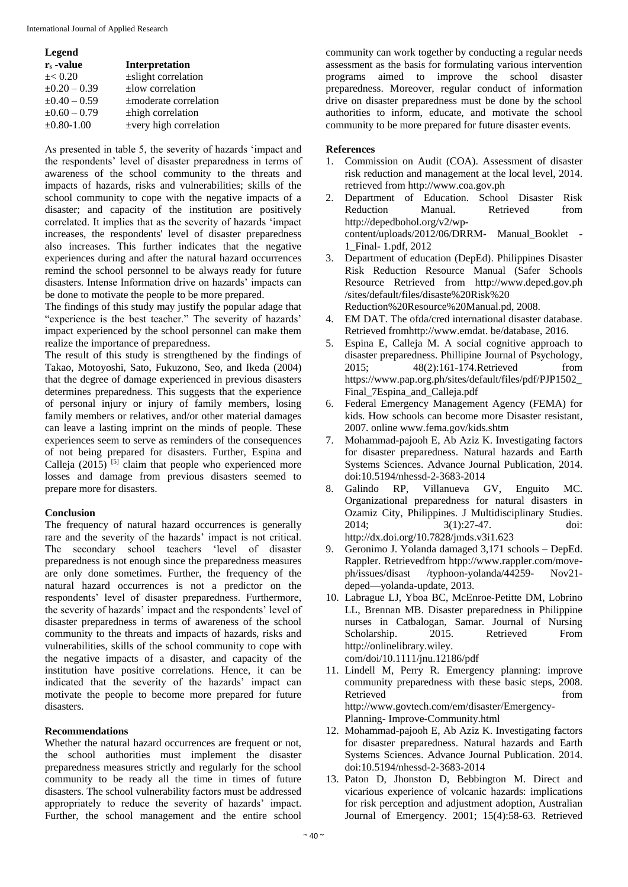| <b>Legend</b>         |                             |
|-----------------------|-----------------------------|
| r <sub>s</sub> -value | <b>Interpretation</b>       |
| $\pm$ < 0.20          | ±slight correlation         |
| $\pm 0.20 - 0.39$     | $\pm$ low correlation       |
| $\pm 0.40 - 0.59$     | $\pm$ moderate correlation  |
| $\pm 0.60 - 0.79$     | $\pm$ high correlation      |
| $\pm 0.80 - 1.00$     | $\pm$ very high correlation |

As presented in table 5, the severity of hazards 'impact and the respondents' level of disaster preparedness in terms of awareness of the school community to the threats and impacts of hazards, risks and vulnerabilities; skills of the school community to cope with the negative impacts of a disaster; and capacity of the institution are positively correlated. It implies that as the severity of hazards 'impact increases, the respondents' level of disaster preparedness also increases. This further indicates that the negative experiences during and after the natural hazard occurrences remind the school personnel to be always ready for future disasters. Intense Information drive on hazards' impacts can be done to motivate the people to be more prepared.

The findings of this study may justify the popular adage that "experience is the best teacher." The severity of hazards' impact experienced by the school personnel can make them realize the importance of preparedness.

The result of this study is strengthened by the findings of Takao, Motoyoshi, Sato, Fukuzono, Seo, and Ikeda (2004) that the degree of damage experienced in previous disasters determines preparedness. This suggests that the experience of personal injury or injury of family members, losing family members or relatives, and/or other material damages can leave a lasting imprint on the minds of people. These experiences seem to serve as reminders of the consequences of not being prepared for disasters. Further, Espina and Calleja (2015)  $[5]$  claim that people who experienced more losses and damage from previous disasters seemed to prepare more for disasters.

# **Conclusion**

The frequency of natural hazard occurrences is generally rare and the severity of the hazards' impact is not critical. The secondary school teachers 'level of disaster preparedness is not enough since the preparedness measures are only done sometimes. Further, the frequency of the natural hazard occurrences is not a predictor on the respondents' level of disaster preparedness. Furthermore, the severity of hazards' impact and the respondents' level of disaster preparedness in terms of awareness of the school community to the threats and impacts of hazards, risks and vulnerabilities, skills of the school community to cope with the negative impacts of a disaster, and capacity of the institution have positive correlations. Hence, it can be indicated that the severity of the hazards' impact can motivate the people to become more prepared for future disasters.

# **Recommendations**

Whether the natural hazard occurrences are frequent or not, the school authorities must implement the disaster preparedness measures strictly and regularly for the school community to be ready all the time in times of future disasters. The school vulnerability factors must be addressed appropriately to reduce the severity of hazards' impact. Further, the school management and the entire school

community can work together by conducting a regular needs assessment as the basis for formulating various intervention programs aimed to improve the school disaster preparedness. Moreover, regular conduct of information drive on disaster preparedness must be done by the school authorities to inform, educate, and motivate the school community to be more prepared for future disaster events.

#### **References**

- 1. Commission on Audit (COA). Assessment of disaster risk reduction and management at the local level, 2014. retrieved from http://www.coa.gov.ph
- 2. Department of Education. School Disaster Risk Reduction Manual. Retrieved from http://depedbohol.org/v2/wpcontent/uploads/2012/06/DRRM- Manual\_Booklet - 1\_Final- 1.pdf, 2012
- 3. Department of education (DepEd). Philippines Disaster Risk Reduction Resource Manual (Safer Schools Resource Retrieved from http://www.deped.gov.ph /sites/default/files/disaste%20Risk%20 Reduction%20Resource%20Manual.pd, 2008.
- 4. EM DAT. The ofda/cred international disaster database. Retrieved fromhttp://www.emdat. be/database, 2016.
- 5. Espina E, Calleja M. A social cognitive approach to disaster preparedness. Phillipine Journal of Psychology, 2015; 48(2):161-174.Retrieved from https://www.pap.org.ph/sites/default/files/pdf/PJP1502\_ Final\_7Espina\_and\_Calleja.pdf
- 6. Federal Emergency Management Agency (FEMA) for kids. How schools can become more Disaster resistant, 2007. online www.fema.gov/kids.shtm
- 7. Mohammad-pajooh E, Ab Aziz K. Investigating factors for disaster preparedness. Natural hazards and Earth Systems Sciences. Advance Journal Publication, 2014. doi:10.5194/nhessd-2-3683-2014
- 8. Galindo RP, Villanueva GV, Enguito MC. Organizational preparedness for natural disasters in Ozamiz City, Philippines. J Multidisciplinary Studies. 2014; 3(1):27-47. doi: http://dx.doi.org/10.7828/jmds.v3i1.623
- 9. Geronimo J. Yolanda damaged 3,171 schools DepEd. Rappler. Retrievedfrom htpp://www.rappler.com/moveph/issues/disast /typhoon-yolanda/44259- Nov21 deped—yolanda-update, 2013.
- 10. Labrague LJ, Yboa BC, McEnroe-Petitte DM, Lobrino LL, Brennan MB. Disaster preparedness in Philippine nurses in Catbalogan, Samar. Journal of Nursing Scholarship. 2015. Retrieved From http://onlinelibrary.wiley.

com/doi/10.1111/jnu.12186/pdf

- 11. Lindell M, Perry R. Emergency planning: improve community preparedness with these basic steps, 2008. Retrieved from the settlement of the settlement of the settlement of the settlement of the settlement of the settlement of the settlement of the settlement of the settlement of the settlement of the settlement of the settl http://www.govtech.com/em/disaster/Emergency-Planning- Improve-Community.html
- 12. Mohammad-pajooh E, Ab Aziz K. Investigating factors for disaster preparedness. Natural hazards and Earth Systems Sciences. Advance Journal Publication. 2014. doi:10.5194/nhessd-2-3683-2014
- 13. Paton D, Jhonston D, Bebbington M. Direct and vicarious experience of volcanic hazards: implications for risk perception and adjustment adoption, Australian Journal of Emergency. 2001; 15(4):58-63. Retrieved